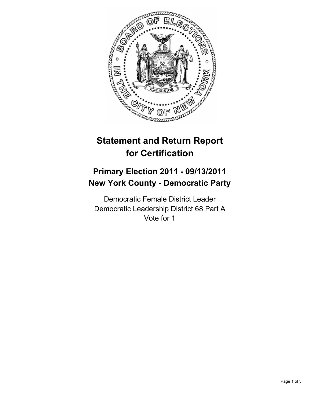

# **Statement and Return Report for Certification**

## **Primary Election 2011 - 09/13/2011 New York County - Democratic Party**

Democratic Female District Leader Democratic Leadership District 68 Part A Vote for 1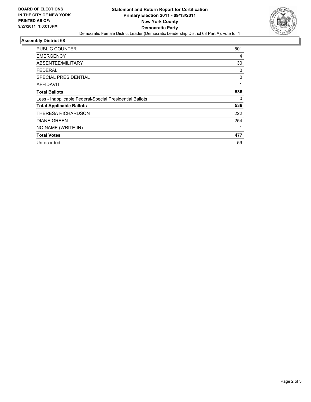

#### **Assembly District 68**

| <b>PUBLIC COUNTER</b>                                    | 501 |
|----------------------------------------------------------|-----|
| <b>EMERGENCY</b>                                         | 4   |
| ABSENTEE/MILITARY                                        | 30  |
| FEDERAL                                                  | 0   |
| <b>SPECIAL PRESIDENTIAL</b>                              | 0   |
| <b>AFFIDAVIT</b>                                         | 1   |
| <b>Total Ballots</b>                                     | 536 |
| Less - Inapplicable Federal/Special Presidential Ballots | 0   |
| <b>Total Applicable Ballots</b>                          | 536 |
| THERESA RICHARDSON                                       | 222 |
| <b>DIANE GREEN</b>                                       | 254 |
| NO NAME (WRITE-IN)                                       |     |
| <b>Total Votes</b>                                       | 477 |
| Unrecorded                                               | 59  |